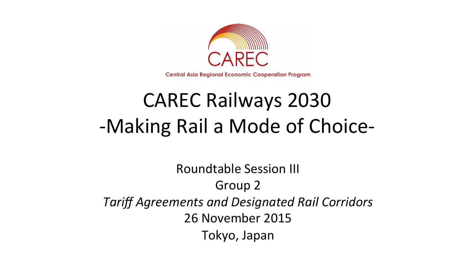

**Central Asia Regional Economic Cooperation Program** 

# **CAREC Railways 2030** -Making Rail a Mode of Choice-

Roundtable Session III Group 2 *Tariff Agreements and Designated Rail Corridors*  26 November 2015 Tokyo, Japan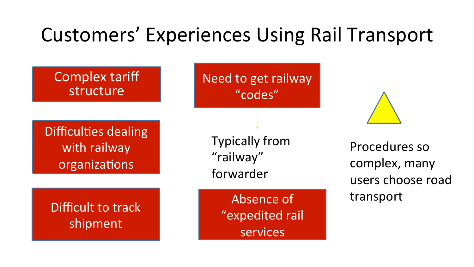## Customers' Experiences Using Rail Transport

Complex tariff structure

Difficulties dealing with railway organizations

Difficult to track shipment 

Need to get railway "codes" 

**Typically from** "railway" forwarder 

> Absence of "expedited rail services



Procedures so complex, many users choose road transport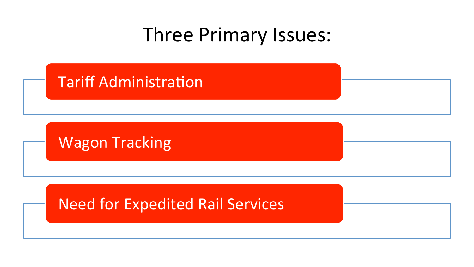## Three Primary Issues:

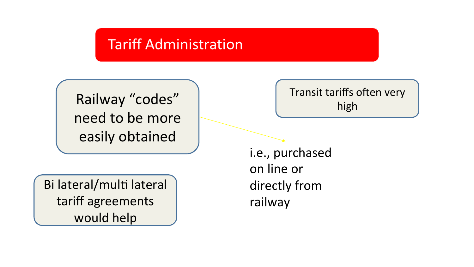#### **Tariff Administration**

Railway "codes" need to be more easily obtained 

Bi lateral/multi lateral tariff agreements would help

#### Transit tariffs often very high

i.e., purchased on line or directly from railway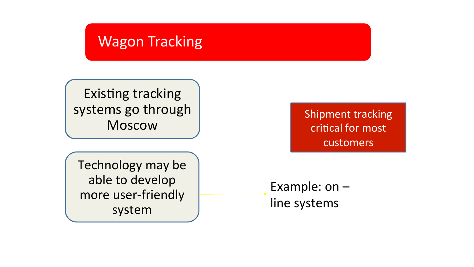#### **Wagon Tracking**

Existing tracking systems go through Moscow 

Technology may be able to develop more user-friendly system 

Shipment tracking critical for most customers 

Example:  $on$ line systems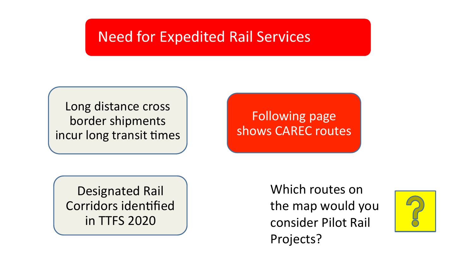#### **Need for Expedited Rail Services**

Long distance cross border shipments incur long transit times

Following page shows CAREC routes

Designated Rail Corridors identified in TTFS 2020 

Which routes on the map would you consider Pilot Rail Projects? 

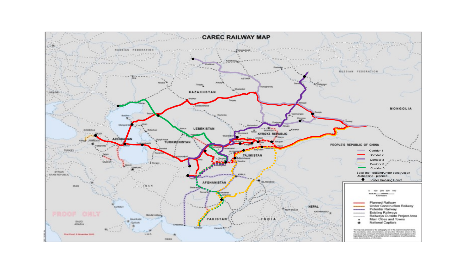